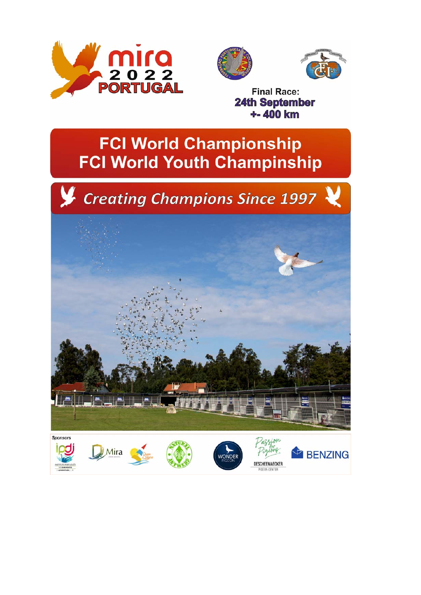





**Final Race: 24th September**  $+ - 400$  km

> DESCHEEMAECKER GEON CENTER

# **FCI World Championship FCI World Youth Champinship**



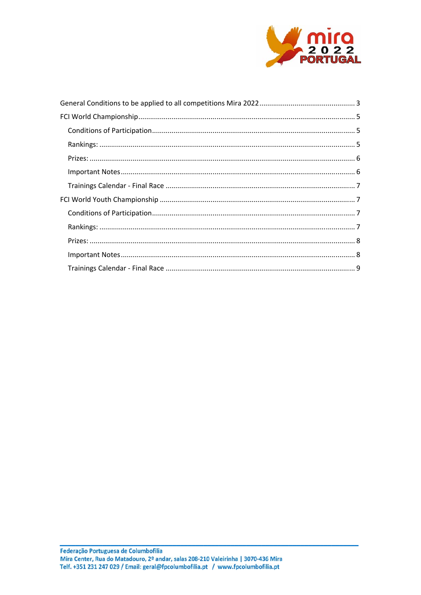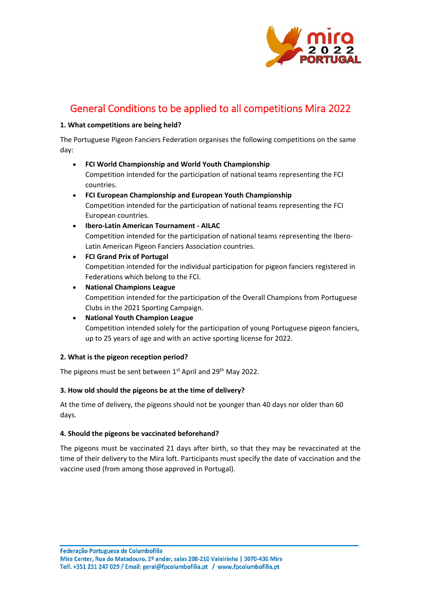

# General Conditions to be applied to all competitions Mira 2022

#### **1. What competitions are being held?**

The Portuguese Pigeon Fanciers Federation organises the following competitions on the same day:

- **FCI World Championship and World Youth Championship**  Competition intended for the participation of national teams representing the FCI countries.
- **FCI European Championship and European Youth Championship**  Competition intended for the participation of national teams representing the FCI European countries.
- **Ibero‐Latin American Tournament ‐ AILAC** Competition intended for the participation of national teams representing the Ibero‐ Latin American Pigeon Fanciers Association countries.
- **FCI Grand Prix of Portugal**  Competition intended for the individual participation for pigeon fanciers registered in Federations which belong to the FCI.
- **National Champions League** Competition intended for the participation of the Overall Champions from Portuguese Clubs in the 2021 Sporting Campaign.
- **National Youth Champion League** Competition intended solely for the participation of young Portuguese pigeon fanciers, up to 25 years of age and with an active sporting license for 2022.

#### **2. What is the pigeon reception period?**

The pigeons must be sent between 1st April and 29<sup>th</sup> May 2022.

#### **3. How old should the pigeons be at the time of delivery?**

At the time of delivery, the pigeons should not be younger than 40 days nor older than 60 days.

#### **4. Should the pigeons be vaccinated beforehand?**

The pigeons must be vaccinated 21 days after birth, so that they may be revaccinated at the time of their delivery to the Mira loft. Participants must specify the date of vaccination and the vaccine used (from among those approved in Portugal).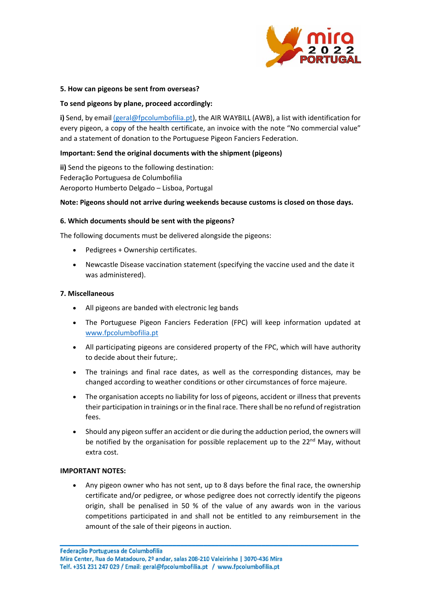

#### **5. How can pigeons be sent from overseas?**

#### **To send pigeons by plane, proceed accordingly:**

**i)** Send, by email (geral@fpcolumbofilia.pt), the AIR WAYBILL (AWB), a list with identification for every pigeon, a copy of the health certificate, an invoice with the note "No commercial value" and a statement of donation to the Portuguese Pigeon Fanciers Federation.

#### **Important: Send the original documents with the shipment (pigeons)**

**ii)** Send the pigeons to the following destination: Federação Portuguesa de Columbofilia Aeroporto Humberto Delgado – Lisboa, Portugal

#### **Note: Pigeons should not arrive during weekends because customs is closed on those days.**

#### **6. Which documents should be sent with the pigeons?**

The following documents must be delivered alongside the pigeons:

- Pedigrees + Ownership certificates.
- Newcastle Disease vaccination statement (specifying the vaccine used and the date it was administered).

#### **7. Miscellaneous**

- All pigeons are banded with electronic leg bands
- The Portuguese Pigeon Fanciers Federation (FPC) will keep information updated at www.fpcolumbofilia.pt
- All participating pigeons are considered property of the FPC, which will have authority to decide about their future;.
- The trainings and final race dates, as well as the corresponding distances, may be changed according to weather conditions or other circumstances of force majeure.
- The organisation accepts no liability for loss of pigeons, accident or illness that prevents their participation in trainings or in the final race. There shall be no refund of registration fees.
- Should any pigeon suffer an accident or die during the adduction period, the owners will be notified by the organisation for possible replacement up to the 22<sup>nd</sup> May, without extra cost.

#### **IMPORTANT NOTES:**

 Any pigeon owner who has not sent, up to 8 days before the final race, the ownership certificate and/or pedigree, or whose pedigree does not correctly identify the pigeons origin, shall be penalised in 50 % of the value of any awards won in the various competitions participated in and shall not be entitled to any reimbursement in the amount of the sale of their pigeons in auction.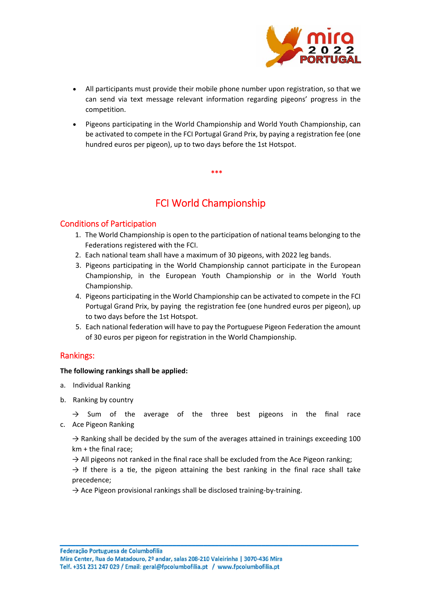

- All participants must provide their mobile phone number upon registration, so that we can send via text message relevant information regarding pigeons' progress in the competition.
- Pigeons participating in the World Championship and World Youth Championship, can be activated to compete in the FCI Portugal Grand Prix, by paying a registration fee (one hundred euros per pigeon), up to two days before the 1st Hotspot.

**\*\*\*** 

# FCI World Championship

### Conditions of Participation

- 1. The World Championship is open to the participation of national teams belonging to the Federations registered with the FCI.
- 2. Each national team shall have a maximum of 30 pigeons, with 2022 leg bands.
- 3. Pigeons participating in the World Championship cannot participate in the European Championship, in the European Youth Championship or in the World Youth Championship.
- 4. Pigeons participating in the World Championship can be activated to compete in the FCI Portugal Grand Prix, by paying the registration fee (one hundred euros per pigeon), up to two days before the 1st Hotspot.
- 5. Each national federation will have to pay the Portuguese Pigeon Federation the amount of 30 euros per pigeon for registration in the World Championship.

# Rankings:

#### **The following rankings shall be applied:**

- a. Individual Ranking
- b. Ranking by country

 $\rightarrow$  Sum of the average of the three best pigeons in the final race c. Ace Pigeon Ranking

 $\rightarrow$  Ranking shall be decided by the sum of the averages attained in trainings exceeding 100 km + the final race;

 $\rightarrow$  All pigeons not ranked in the final race shall be excluded from the Ace Pigeon ranking;

 $\rightarrow$  If there is a tie, the pigeon attaining the best ranking in the final race shall take precedence;

 $\rightarrow$  Ace Pigeon provisional rankings shall be disclosed training-by-training.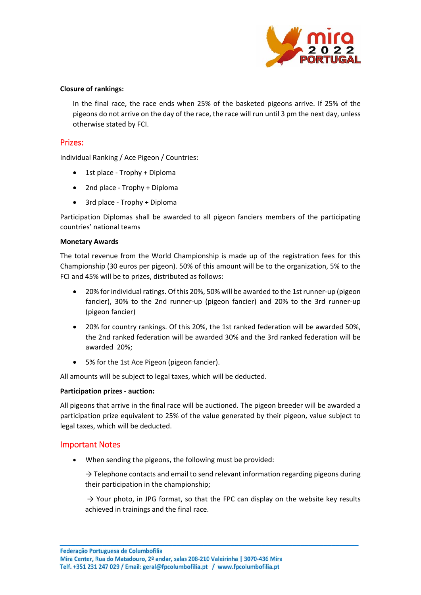

#### **Closure of rankings:**

In the final race, the race ends when 25% of the basketed pigeons arrive. If 25% of the pigeons do not arrive on the day of the race, the race will run until 3 pm the next day, unless otherwise stated by FCI.

#### Prizes:

Individual Ranking / Ace Pigeon / Countries:

- 1st place Trophy + Diploma
- 2nd place Trophy + Diploma
- 3rd place Trophy + Diploma

Participation Diplomas shall be awarded to all pigeon fanciers members of the participating countries' national teams

#### **Monetary Awards**

The total revenue from the World Championship is made up of the registration fees for this Championship (30 euros per pigeon). 50% of this amount will be to the organization, 5% to the FCI and 45% will be to prizes, distributed as follows:

- 20% for individual ratings. Of this 20%, 50% will be awarded to the 1st runner‐up (pigeon fancier), 30% to the 2nd runner-up (pigeon fancier) and 20% to the 3rd runner-up (pigeon fancier)
- 20% for country rankings. Of this 20%, the 1st ranked federation will be awarded 50%, the 2nd ranked federation will be awarded 30% and the 3rd ranked federation will be awarded 20%;
- 5% for the 1st Ace Pigeon (pigeon fancier).

All amounts will be subject to legal taxes, which will be deducted.

#### **Participation prizes ‐ auction:**

All pigeons that arrive in the final race will be auctioned. The pigeon breeder will be awarded a participation prize equivalent to 25% of the value generated by their pigeon, value subject to legal taxes, which will be deducted.

#### Important Notes

When sending the pigeons, the following must be provided:

 $\rightarrow$  Telephone contacts and email to send relevant information regarding pigeons during their participation in the championship;

 $\rightarrow$  Your photo, in JPG format, so that the FPC can display on the website key results achieved in trainings and the final race.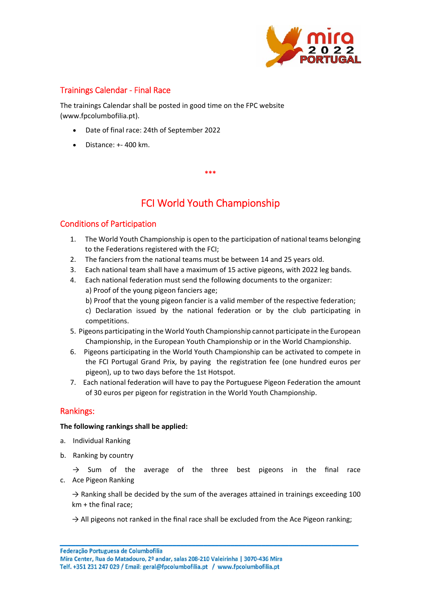

## Trainings Calendar ‐ Final Race

The trainings Calendar shall be posted in good time on the FPC website (www.fpcolumbofilia.pt).

- Date of final race: 24th of September 2022
- Distance: +‐ 400 km.

# FCI World Youth Championship

**\*\*\*** 

### Conditions of Participation

- 1. The World Youth Championship is open to the participation of national teams belonging to the Federations registered with the FCI;
- 2. The fanciers from the national teams must be between 14 and 25 years old.
- 3. Each national team shall have a maximum of 15 active pigeons, with 2022 leg bands.
- 4. Each national federation must send the following documents to the organizer: a) Proof of the young pigeon fanciers age;
	- b) Proof that the young pigeon fancier is a valid member of the respective federation;

c) Declaration issued by the national federation or by the club participating in competitions.

- 5. Pigeons participating in the World Youth Championship cannot participate in the European Championship, in the European Youth Championship or in the World Championship.
- 6. Pigeons participating in the World Youth Championship can be activated to compete in the FCI Portugal Grand Prix, by paying the registration fee (one hundred euros per pigeon), up to two days before the 1st Hotspot.
- 7. Each national federation will have to pay the Portuguese Pigeon Federation the amount of 30 euros per pigeon for registration in the World Youth Championship.

### Rankings:

#### **The following rankings shall be applied:**

- a. Individual Ranking
- b. Ranking by country

 $\rightarrow$  Sum of the average of the three best pigeons in the final race c. Ace Pigeon Ranking

 $\rightarrow$  Ranking shall be decided by the sum of the averages attained in trainings exceeding 100 km + the final race;

 $\rightarrow$  All pigeons not ranked in the final race shall be excluded from the Ace Pigeon ranking;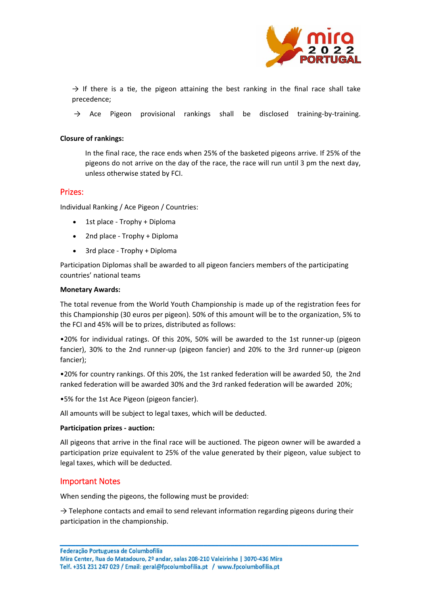

 $\rightarrow$  If there is a tie, the pigeon attaining the best ranking in the final race shall take precedence;

 $\rightarrow$  Ace Pigeon provisional rankings shall be disclosed training-by-training.

#### **Closure of rankings:**

In the final race, the race ends when 25% of the basketed pigeons arrive. If 25% of the pigeons do not arrive on the day of the race, the race will run until 3 pm the next day, unless otherwise stated by FCI.

#### Prizes:

Individual Ranking / Ace Pigeon / Countries:

- 1st place Trophy + Diploma
- 2nd place Trophy + Diploma
- 3rd place Trophy + Diploma

Participation Diplomas shall be awarded to all pigeon fanciers members of the participating countries' national teams

#### **Monetary Awards:**

The total revenue from the World Youth Championship is made up of the registration fees for this Championship (30 euros per pigeon). 50% of this amount will be to the organization, 5% to the FCI and 45% will be to prizes, distributed as follows:

•20% for individual ratings. Of this 20%, 50% will be awarded to the 1st runner‐up (pigeon fancier), 30% to the 2nd runner-up (pigeon fancier) and 20% to the 3rd runner-up (pigeon fancier);

•20% for country rankings. Of this 20%, the 1st ranked federation will be awarded 50, the 2nd ranked federation will be awarded 30% and the 3rd ranked federation will be awarded 20%;

•5% for the 1st Ace Pigeon (pigeon fancier).

All amounts will be subject to legal taxes, which will be deducted.

#### **Participation prizes ‐ auction:**

All pigeons that arrive in the final race will be auctioned. The pigeon owner will be awarded a participation prize equivalent to 25% of the value generated by their pigeon, value subject to legal taxes, which will be deducted.

#### Important Notes

When sending the pigeons, the following must be provided:

 $\rightarrow$  Telephone contacts and email to send relevant information regarding pigeons during their participation in the championship.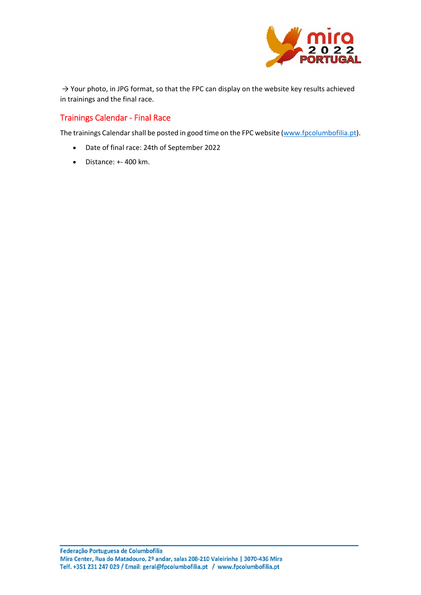

 $\rightarrow$  Your photo, in JPG format, so that the FPC can display on the website key results achieved in trainings and the final race.

# Trainings Calendar ‐ Final Race

The trainings Calendar shall be posted in good time on the FPC website (www.fpcolumbofilia.pt).

- Date of final race: 24th of September 2022
- Distance: +‐ 400 km.